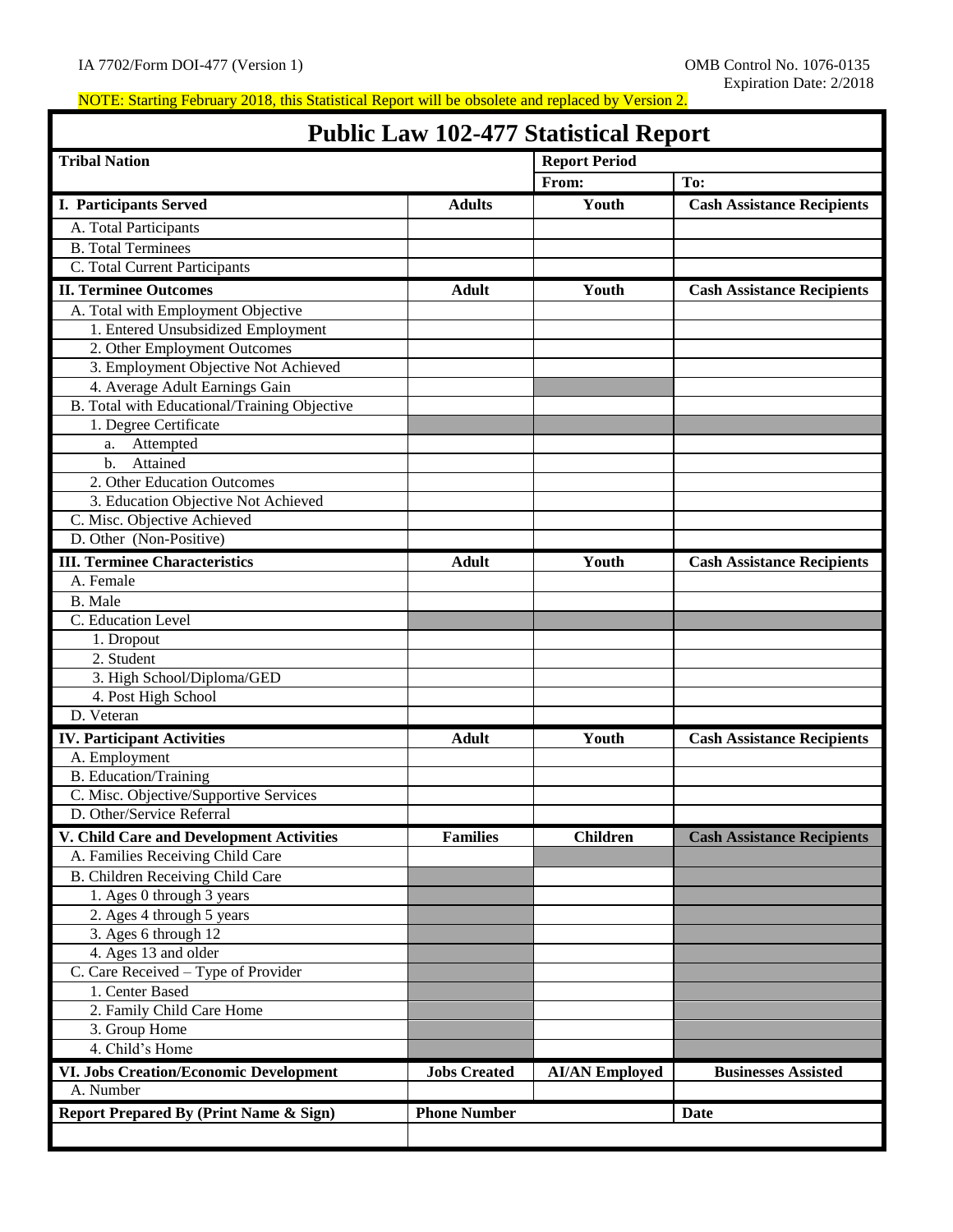# **Public Law 102-477 Statistical Report**

| I GOIIC LAW IV2-477 Statistical Report        |                     |                       |                                   |
|-----------------------------------------------|---------------------|-----------------------|-----------------------------------|
| <b>Tribal Nation</b>                          |                     | <b>Report Period</b>  |                                   |
|                                               |                     | From:                 | To:                               |
| <b>I. Participants Served</b>                 | <b>Adults</b>       | Youth                 | <b>Cash Assistance Recipients</b> |
| A. Total Participants                         |                     |                       |                                   |
| <b>B.</b> Total Terminees                     |                     |                       |                                   |
| C. Total Current Participants                 |                     |                       |                                   |
| <b>II. Terminee Outcomes</b>                  | <b>Adult</b>        | Youth                 | <b>Cash Assistance Recipients</b> |
| A. Total with Employment Objective            |                     |                       |                                   |
| 1. Entered Unsubsidized Employment            |                     |                       |                                   |
| 2. Other Employment Outcomes                  |                     |                       |                                   |
| 3. Employment Objective Not Achieved          |                     |                       |                                   |
| 4. Average Adult Earnings Gain                |                     |                       |                                   |
| B. Total with Educational/Training Objective  |                     |                       |                                   |
| 1. Degree Certificate                         |                     |                       |                                   |
| Attempted                                     |                     |                       |                                   |
| a.<br>Attained<br>b.                          |                     |                       |                                   |
| 2. Other Education Outcomes                   |                     |                       |                                   |
| 3. Education Objective Not Achieved           |                     |                       |                                   |
| C. Misc. Objective Achieved                   |                     |                       |                                   |
| D. Other (Non-Positive)                       |                     |                       |                                   |
|                                               |                     |                       |                                   |
| <b>III. Terminee Characteristics</b>          | <b>Adult</b>        | Youth                 | <b>Cash Assistance Recipients</b> |
| A. Female                                     |                     |                       |                                   |
| B. Male                                       |                     |                       |                                   |
| C. Education Level                            |                     |                       |                                   |
| 1. Dropout                                    |                     |                       |                                   |
| 2. Student                                    |                     |                       |                                   |
| 3. High School/Diploma/GED                    |                     |                       |                                   |
| 4. Post High School                           |                     |                       |                                   |
| D. Veteran                                    |                     |                       |                                   |
| <b>IV. Participant Activities</b>             | <b>Adult</b>        | Youth                 | <b>Cash Assistance Recipients</b> |
| A. Employment                                 |                     |                       |                                   |
| <b>B.</b> Education/Training                  |                     |                       |                                   |
| C. Misc. Objective/Supportive Services        |                     |                       |                                   |
| D. Other/Service Referral                     |                     |                       |                                   |
| V. Child Care and Development Activities      | <b>Families</b>     | <b>Children</b>       | <b>Cash Assistance Recipients</b> |
| A. Families Receiving Child Care              |                     |                       |                                   |
| B. Children Receiving Child Care              |                     |                       |                                   |
| 1. Ages 0 through 3 years                     |                     |                       |                                   |
| 2. Ages 4 through 5 years                     |                     |                       |                                   |
| 3. Ages 6 through $12$                        |                     |                       |                                   |
| 4. Ages 13 and older                          |                     |                       |                                   |
| C. Care Received - Type of Provider           |                     |                       |                                   |
| 1. Center Based                               |                     |                       |                                   |
| 2. Family Child Care Home                     |                     |                       |                                   |
| 3. Group Home                                 |                     |                       |                                   |
| 4. Child's Home                               |                     |                       |                                   |
| <b>VI. Jobs Creation/Economic Development</b> | <b>Jobs Created</b> | <b>AI/AN Employed</b> | <b>Businesses Assisted</b>        |
| A. Number                                     |                     |                       |                                   |
| Report Prepared By (Print Name & Sign)        | <b>Phone Number</b> |                       | <b>Date</b>                       |
|                                               |                     |                       |                                   |
|                                               |                     |                       |                                   |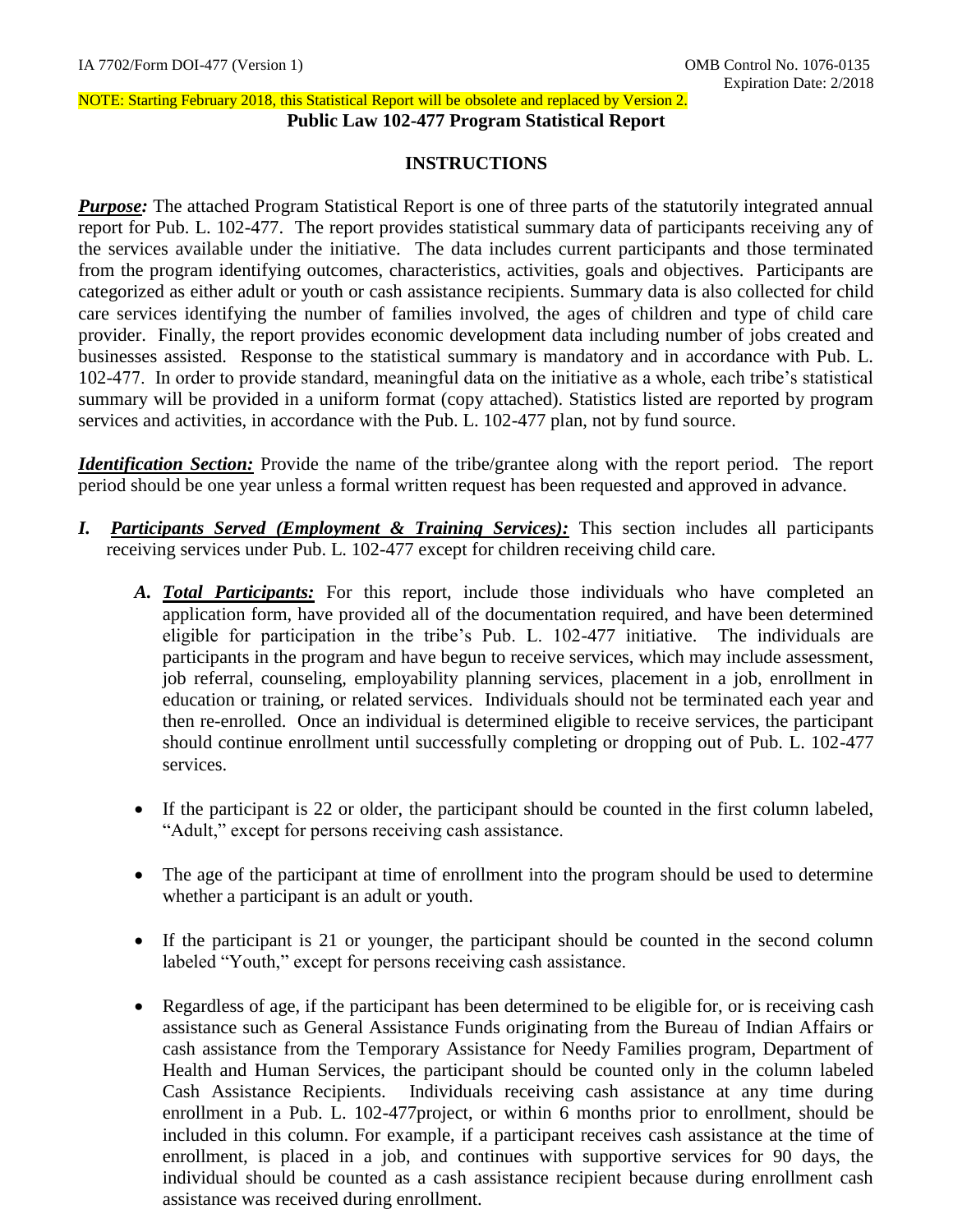#### NOTE: Starting February 2018, this Statistical Report will be obsolete and replaced by Version 2. **Public Law 102-477 Program Statistical Report**

# **INSTRUCTIONS**

**Purpose:** The attached Program Statistical Report is one of three parts of the statutorily integrated annual report for Pub. L. 102-477. The report provides statistical summary data of participants receiving any of the services available under the initiative. The data includes current participants and those terminated from the program identifying outcomes, characteristics, activities, goals and objectives. Participants are categorized as either adult or youth or cash assistance recipients. Summary data is also collected for child care services identifying the number of families involved, the ages of children and type of child care provider. Finally, the report provides economic development data including number of jobs created and businesses assisted. Response to the statistical summary is mandatory and in accordance with Pub. L. 102-477. In order to provide standard, meaningful data on the initiative as a whole, each tribe's statistical summary will be provided in a uniform format (copy attached). Statistics listed are reported by program services and activities, in accordance with the Pub. L. 102-477 plan, not by fund source.

*Identification Section:* Provide the name of the tribe/grantee along with the report period. The report period should be one year unless a formal written request has been requested and approved in advance.

- *I. Participants Served (Employment & Training Services):* This section includes all participants receiving services under Pub. L. 102-477 except for children receiving child care.
	- *A. Total Participants:* For this report, include those individuals who have completed an application form, have provided all of the documentation required, and have been determined eligible for participation in the tribe's Pub. L. 102-477 initiative. The individuals are participants in the program and have begun to receive services, which may include assessment, job referral, counseling, employability planning services, placement in a job, enrollment in education or training, or related services. Individuals should not be terminated each year and then re-enrolled. Once an individual is determined eligible to receive services, the participant should continue enrollment until successfully completing or dropping out of Pub. L. 102-477 services.
	- If the participant is 22 or older, the participant should be counted in the first column labeled, "Adult," except for persons receiving cash assistance.
	- The age of the participant at time of enrollment into the program should be used to determine whether a participant is an adult or youth.
	- If the participant is 21 or younger, the participant should be counted in the second column labeled "Youth," except for persons receiving cash assistance.
	- Regardless of age, if the participant has been determined to be eligible for, or is receiving cash assistance such as General Assistance Funds originating from the Bureau of Indian Affairs or cash assistance from the Temporary Assistance for Needy Families program, Department of Health and Human Services, the participant should be counted only in the column labeled Cash Assistance Recipients. Individuals receiving cash assistance at any time during enrollment in a Pub. L. 102-477project, or within 6 months prior to enrollment, should be included in this column. For example, if a participant receives cash assistance at the time of enrollment, is placed in a job, and continues with supportive services for 90 days, the individual should be counted as a cash assistance recipient because during enrollment cash assistance was received during enrollment.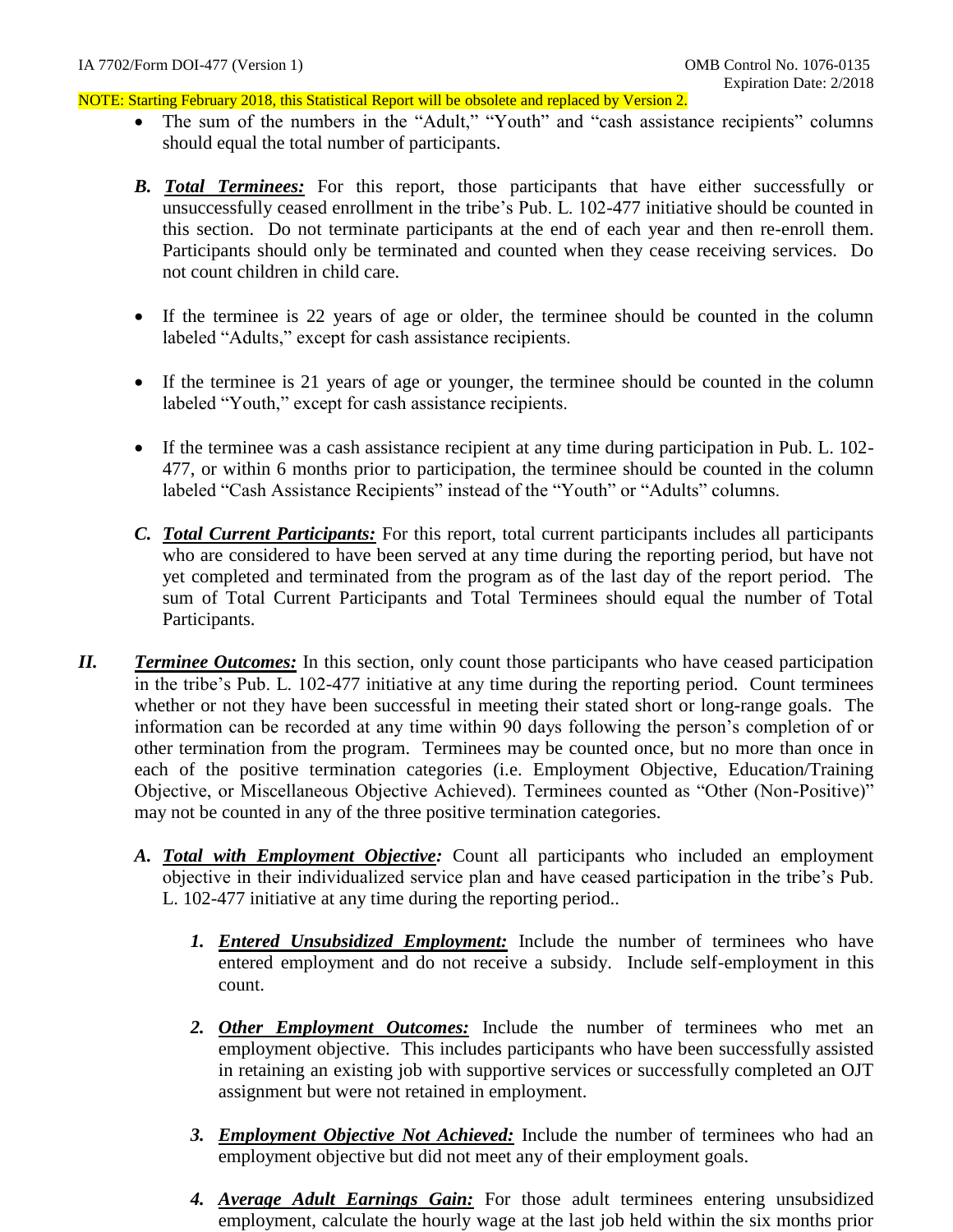- The sum of the numbers in the "Adult," "Youth" and "cash assistance recipients" columns should equal the total number of participants.
- *B. Total Terminees:* For this report, those participants that have either successfully or unsuccessfully ceased enrollment in the tribe's Pub. L. 102-477 initiative should be counted in this section. Do not terminate participants at the end of each year and then re-enroll them. Participants should only be terminated and counted when they cease receiving services. Do not count children in child care.
- If the terminee is 22 years of age or older, the terminee should be counted in the column labeled "Adults," except for cash assistance recipients.
- If the terminee is 21 years of age or younger, the terminee should be counted in the column labeled "Youth," except for cash assistance recipients.
- If the terminee was a cash assistance recipient at any time during participation in Pub. L. 102- 477, or within 6 months prior to participation, the terminee should be counted in the column labeled "Cash Assistance Recipients" instead of the "Youth" or "Adults" columns.
- *C. Total Current Participants:* For this report, total current participants includes all participants who are considered to have been served at any time during the reporting period, but have not yet completed and terminated from the program as of the last day of the report period. The sum of Total Current Participants and Total Terminees should equal the number of Total Participants.
- *II. Terminee Outcomes:* In this section, only count those participants who have ceased participation in the tribe's Pub. L. 102-477 initiative at any time during the reporting period. Count terminees whether or not they have been successful in meeting their stated short or long-range goals. The information can be recorded at any time within 90 days following the person's completion of or other termination from the program. Terminees may be counted once, but no more than once in each of the positive termination categories (i.e. Employment Objective, Education/Training Objective, or Miscellaneous Objective Achieved). Terminees counted as "Other (Non-Positive)" may not be counted in any of the three positive termination categories.
	- *A. Total with Employment Objective:* Count all participants who included an employment objective in their individualized service plan and have ceased participation in the tribe's Pub. L. 102-477 initiative at any time during the reporting period..
		- *1. Entered Unsubsidized Employment:* Include the number of terminees who have entered employment and do not receive a subsidy. Include self-employment in this count.
		- *2. Other Employment Outcomes:* Include the number of terminees who met an employment objective. This includes participants who have been successfully assisted in retaining an existing job with supportive services or successfully completed an OJT assignment but were not retained in employment.
		- *3. Employment Objective Not Achieved:* Include the number of terminees who had an employment objective but did not meet any of their employment goals.
		- *4. Average Adult Earnings Gain:* For those adult terminees entering unsubsidized employment, calculate the hourly wage at the last job held within the six months prior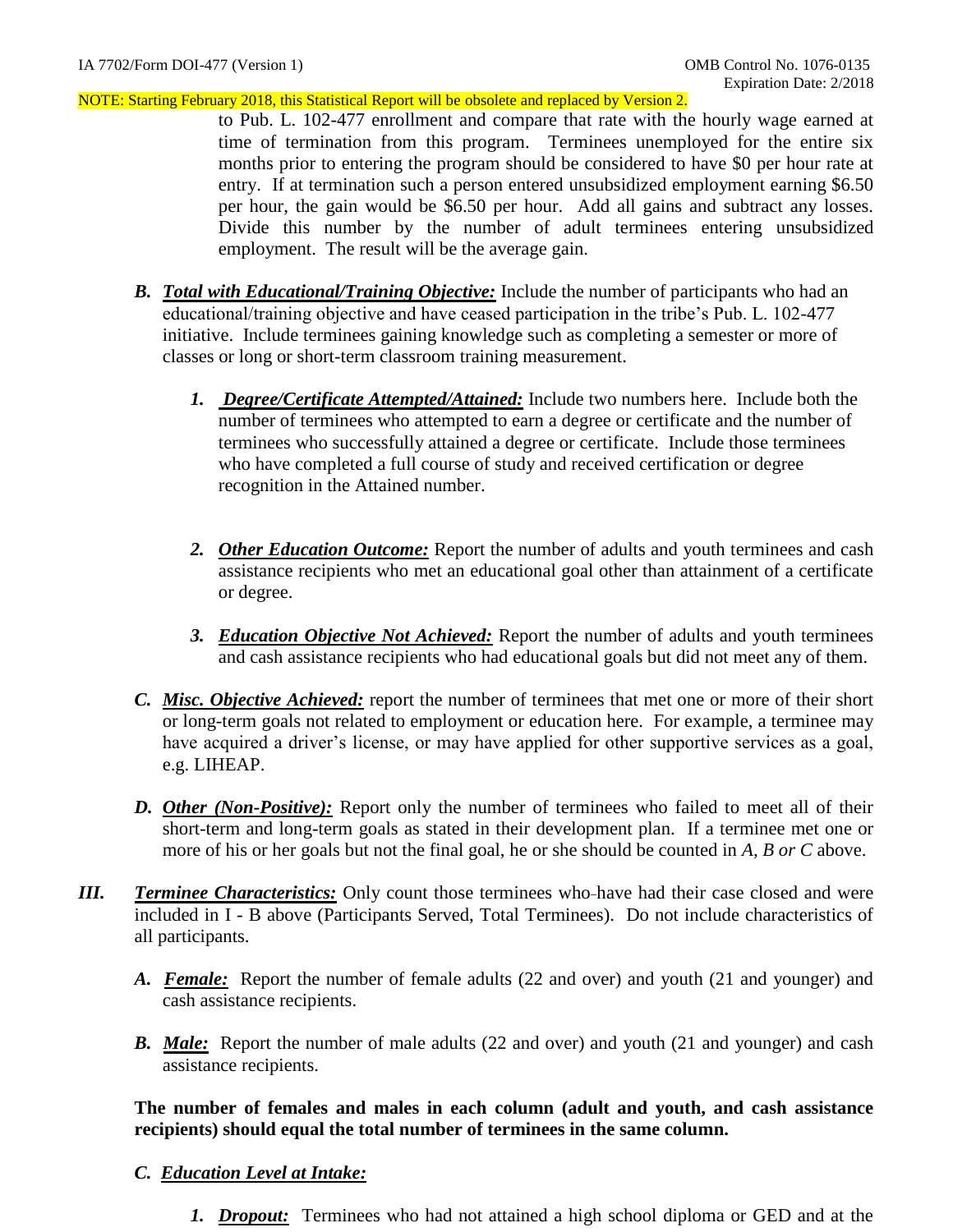to Pub. L. 102-477 enrollment and compare that rate with the hourly wage earned at time of termination from this program. Terminees unemployed for the entire six months prior to entering the program should be considered to have \$0 per hour rate at entry. If at termination such a person entered unsubsidized employment earning \$6.50 per hour, the gain would be \$6.50 per hour. Add all gains and subtract any losses. Divide this number by the number of adult terminees entering unsubsidized employment. The result will be the average gain.

- *B. Total with Educational/Training Objective:* Include the number of participants who had an educational/training objective and have ceased participation in the tribe's Pub. L. 102-477 initiative. Include terminees gaining knowledge such as completing a semester or more of classes or long or short-term classroom training measurement.
	- *1. Degree/Certificate Attempted/Attained:* Include two numbers here. Include both the number of terminees who attempted to earn a degree or certificate and the number of terminees who successfully attained a degree or certificate. Include those terminees who have completed a full course of study and received certification or degree recognition in the Attained number.
	- *2. Other Education Outcome:* Report the number of adults and youth terminees and cash assistance recipients who met an educational goal other than attainment of a certificate or degree.
	- *3. Education Objective Not Achieved:* Report the number of adults and youth terminees and cash assistance recipients who had educational goals but did not meet any of them.
- *C. Misc. Objective Achieved:* report the number of terminees that met one or more of their short or long-term goals not related to employment or education here. For example, a terminee may have acquired a driver's license, or may have applied for other supportive services as a goal, e.g. LIHEAP.
- *D. Other (Non-Positive):* Report only the number of terminees who failed to meet all of their short-term and long-term goals as stated in their development plan. If a terminee met one or more of his or her goals but not the final goal, he or she should be counted in *A, B or C* above.
- *III. <u>Terminee Characteristics:</u>* Only count those terminees who-have had their case closed and were included in I - B above (Participants Served, Total Terminees). Do not include characteristics of all participants.
	- *A. Female:* Report the number of female adults (22 and over) and youth (21 and younger) and cash assistance recipients.
	- **B.** Male: Report the number of male adults (22 and over) and youth (21 and younger) and cash assistance recipients.

**The number of females and males in each column (adult and youth, and cash assistance recipients) should equal the total number of terminees in the same column.** 

## *C. Education Level at Intake:*

*1. Dropout:* Terminees who had not attained a high school diploma or GED and at the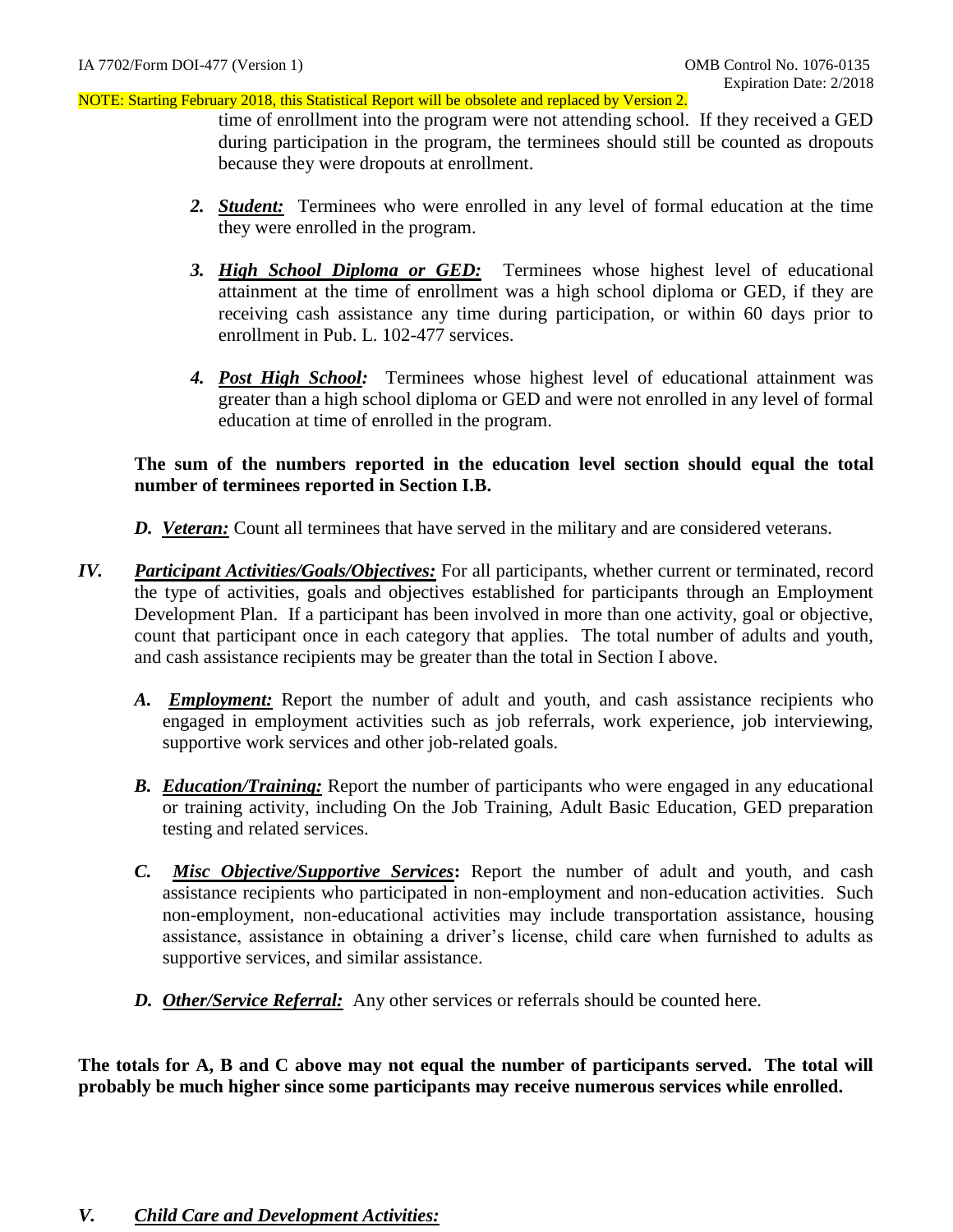time of enrollment into the program were not attending school. If they received a GED during participation in the program, the terminees should still be counted as dropouts because they were dropouts at enrollment.

- *2. Student:* Terminees who were enrolled in any level of formal education at the time they were enrolled in the program.
- *3. High School Diploma or GED:* Terminees whose highest level of educational attainment at the time of enrollment was a high school diploma or GED, if they are receiving cash assistance any time during participation, or within 60 days prior to enrollment in Pub. L. 102-477 services.
- *4. Post High School:* Terminees whose highest level of educational attainment was greater than a high school diploma or GED and were not enrolled in any level of formal education at time of enrolled in the program.

## **The sum of the numbers reported in the education level section should equal the total number of terminees reported in Section I.B.**

- *D. Veteran:* Count all terminees that have served in the military and are considered veterans.
- *IV. Participant Activities/Goals/Objectives:* For all participants, whether current or terminated, record the type of activities, goals and objectives established for participants through an Employment Development Plan. If a participant has been involved in more than one activity, goal or objective, count that participant once in each category that applies. The total number of adults and youth, and cash assistance recipients may be greater than the total in Section I above.
	- *A. Employment:* Report the number of adult and youth, and cash assistance recipients who engaged in employment activities such as job referrals, work experience, job interviewing, supportive work services and other job-related goals.
	- *B. Education/Training:* Report the number of participants who were engaged in any educational or training activity, including On the Job Training, Adult Basic Education, GED preparation testing and related services.
	- *C. Misc Objective/Supportive Services***:** Report the number of adult and youth, and cash assistance recipients who participated in non-employment and non-education activities. Such non-employment, non-educational activities may include transportation assistance, housing assistance, assistance in obtaining a driver's license, child care when furnished to adults as supportive services, and similar assistance.
	- *D. Other/Service Referral:* Any other services or referrals should be counted here.

**The totals for A, B and C above may not equal the number of participants served. The total will probably be much higher since some participants may receive numerous services while enrolled.**